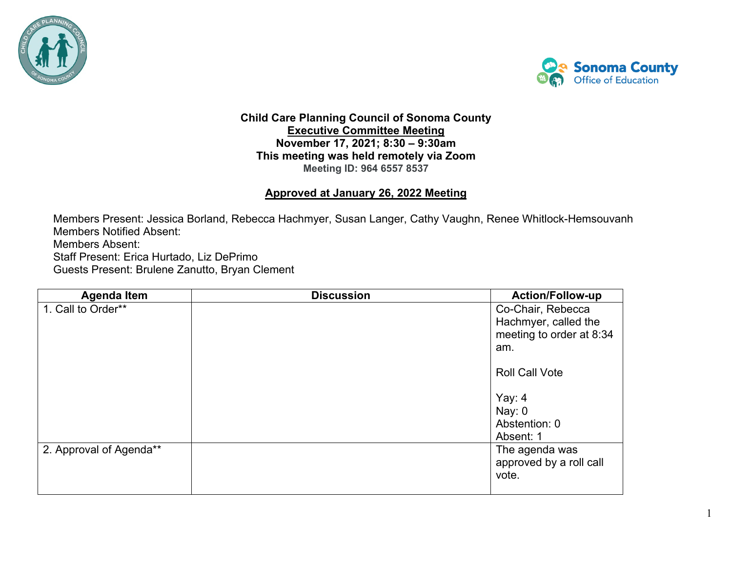



1

## **Child Care Planning Council of Sonoma County Executive Committee Meeting November 17, 2021; 8:30 – 9:30am This meeting was held remotely via Zoom Meeting ID: 964 6557 8537**

## **Approved at January 26, 2022 Meeting**

Members Present: Jessica Borland, Rebecca Hachmyer, Susan Langer, Cathy Vaughn, Renee Whitlock-Hemsouvanh Members Notified Absent: Members Absent: Staff Present: Erica Hurtado, Liz DePrimo Guests Present: Brulene Zanutto, Bryan Clement

| <b>Agenda Item</b>      | <b>Discussion</b> | <b>Action/Follow-up</b>                            |
|-------------------------|-------------------|----------------------------------------------------|
| 1. Call to Order**      |                   | Co-Chair, Rebecca<br>Hachmyer, called the          |
|                         |                   | meeting to order at 8:34                           |
|                         |                   | am.                                                |
|                         |                   | <b>Roll Call Vote</b>                              |
|                         |                   | Yay: 4                                             |
|                         |                   | Nay: 0                                             |
|                         |                   | Abstention: 0                                      |
|                         |                   | Absent: 1                                          |
| 2. Approval of Agenda** |                   | The agenda was<br>approved by a roll call<br>vote. |
|                         |                   |                                                    |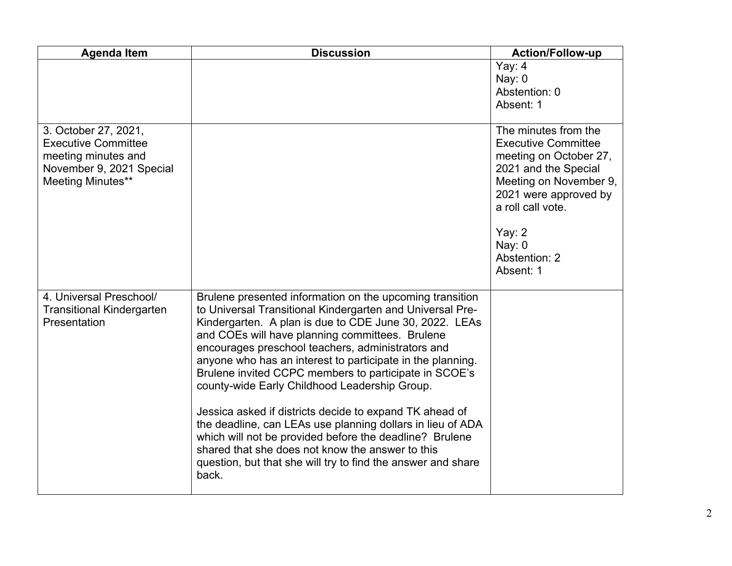| <b>Agenda Item</b>                                                                                                         | <b>Discussion</b>                                                                                                                                                                                                                                                                                                                                                                                                                                                                                                                                                                                                                                                                                                                                                                | <b>Action/Follow-up</b>                                                                                                                                                                                                            |
|----------------------------------------------------------------------------------------------------------------------------|----------------------------------------------------------------------------------------------------------------------------------------------------------------------------------------------------------------------------------------------------------------------------------------------------------------------------------------------------------------------------------------------------------------------------------------------------------------------------------------------------------------------------------------------------------------------------------------------------------------------------------------------------------------------------------------------------------------------------------------------------------------------------------|------------------------------------------------------------------------------------------------------------------------------------------------------------------------------------------------------------------------------------|
|                                                                                                                            |                                                                                                                                                                                                                                                                                                                                                                                                                                                                                                                                                                                                                                                                                                                                                                                  | Yay: 4<br>Nay: 0<br>Abstention: 0<br>Absent: 1                                                                                                                                                                                     |
| 3. October 27, 2021,<br><b>Executive Committee</b><br>meeting minutes and<br>November 9, 2021 Special<br>Meeting Minutes** |                                                                                                                                                                                                                                                                                                                                                                                                                                                                                                                                                                                                                                                                                                                                                                                  | The minutes from the<br><b>Executive Committee</b><br>meeting on October 27,<br>2021 and the Special<br>Meeting on November 9,<br>2021 were approved by<br>a roll call vote.<br>Yay: $2$<br>Nay: $0$<br>Abstention: 2<br>Absent: 1 |
| 4. Universal Preschool/<br><b>Transitional Kindergarten</b><br>Presentation                                                | Brulene presented information on the upcoming transition<br>to Universal Transitional Kindergarten and Universal Pre-<br>Kindergarten. A plan is due to CDE June 30, 2022. LEAs<br>and COEs will have planning committees. Brulene<br>encourages preschool teachers, administrators and<br>anyone who has an interest to participate in the planning.<br>Brulene invited CCPC members to participate in SCOE's<br>county-wide Early Childhood Leadership Group.<br>Jessica asked if districts decide to expand TK ahead of<br>the deadline, can LEAs use planning dollars in lieu of ADA<br>which will not be provided before the deadline? Brulene<br>shared that she does not know the answer to this<br>question, but that she will try to find the answer and share<br>back. |                                                                                                                                                                                                                                    |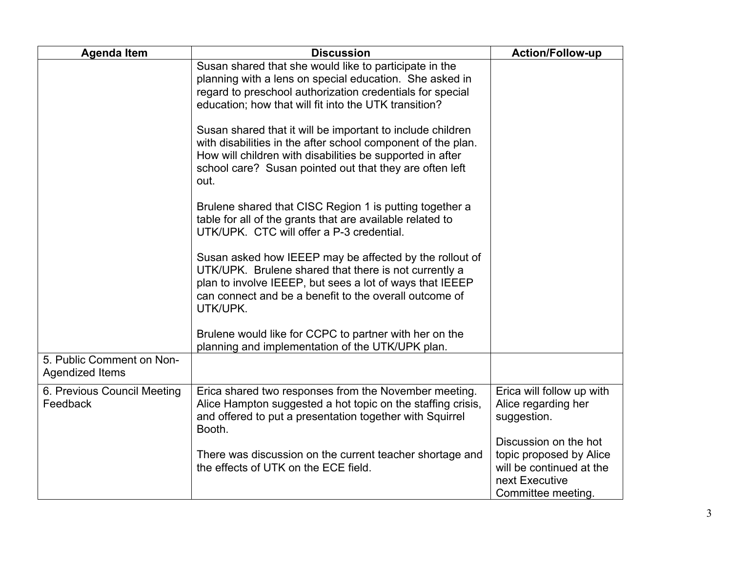| <b>Agenda Item</b>                           | <b>Discussion</b>                                                                                                                                                                                                                                          | <b>Action/Follow-up</b>                                                                                              |
|----------------------------------------------|------------------------------------------------------------------------------------------------------------------------------------------------------------------------------------------------------------------------------------------------------------|----------------------------------------------------------------------------------------------------------------------|
|                                              | Susan shared that she would like to participate in the<br>planning with a lens on special education. She asked in<br>regard to preschool authorization credentials for special<br>education; how that will fit into the UTK transition?                    |                                                                                                                      |
|                                              | Susan shared that it will be important to include children<br>with disabilities in the after school component of the plan.<br>How will children with disabilities be supported in after<br>school care? Susan pointed out that they are often left<br>out. |                                                                                                                      |
|                                              | Brulene shared that CISC Region 1 is putting together a<br>table for all of the grants that are available related to<br>UTK/UPK. CTC will offer a P-3 credential.                                                                                          |                                                                                                                      |
|                                              | Susan asked how IEEEP may be affected by the rollout of<br>UTK/UPK. Brulene shared that there is not currently a<br>plan to involve IEEEP, but sees a lot of ways that IEEEP<br>can connect and be a benefit to the overall outcome of<br>UTK/UPK.         |                                                                                                                      |
|                                              | Brulene would like for CCPC to partner with her on the<br>planning and implementation of the UTK/UPK plan.                                                                                                                                                 |                                                                                                                      |
| 5. Public Comment on Non-<br>Agendized Items |                                                                                                                                                                                                                                                            |                                                                                                                      |
| 6. Previous Council Meeting<br>Feedback      | Erica shared two responses from the November meeting.<br>Alice Hampton suggested a hot topic on the staffing crisis,<br>and offered to put a presentation together with Squirrel<br>Booth.                                                                 | Erica will follow up with<br>Alice regarding her<br>suggestion.                                                      |
|                                              | There was discussion on the current teacher shortage and<br>the effects of UTK on the ECE field.                                                                                                                                                           | Discussion on the hot<br>topic proposed by Alice<br>will be continued at the<br>next Executive<br>Committee meeting. |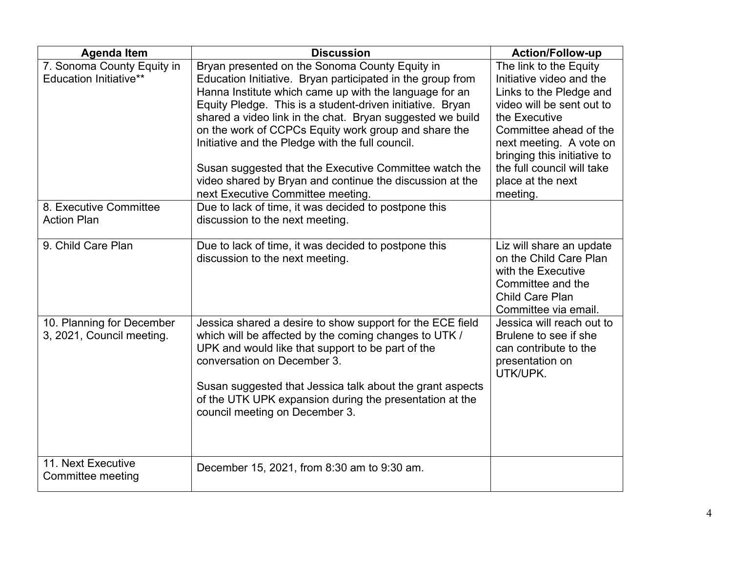| <b>Agenda Item</b>                                          | <b>Discussion</b>                                                                                                                                                                                                                                                                                                                                                                                                                                                                                                                                                       | <b>Action/Follow-up</b>                                                                                                                                                                                                                                                        |
|-------------------------------------------------------------|-------------------------------------------------------------------------------------------------------------------------------------------------------------------------------------------------------------------------------------------------------------------------------------------------------------------------------------------------------------------------------------------------------------------------------------------------------------------------------------------------------------------------------------------------------------------------|--------------------------------------------------------------------------------------------------------------------------------------------------------------------------------------------------------------------------------------------------------------------------------|
| 7. Sonoma County Equity in<br><b>Education Initiative**</b> | Bryan presented on the Sonoma County Equity in<br>Education Initiative. Bryan participated in the group from<br>Hanna Institute which came up with the language for an<br>Equity Pledge. This is a student-driven initiative. Bryan<br>shared a video link in the chat. Bryan suggested we build<br>on the work of CCPCs Equity work group and share the<br>Initiative and the Pledge with the full council.<br>Susan suggested that the Executive Committee watch the<br>video shared by Bryan and continue the discussion at the<br>next Executive Committee meeting. | The link to the Equity<br>Initiative video and the<br>Links to the Pledge and<br>video will be sent out to<br>the Executive<br>Committee ahead of the<br>next meeting. A vote on<br>bringing this initiative to<br>the full council will take<br>place at the next<br>meeting. |
| 8. Executive Committee<br><b>Action Plan</b>                | Due to lack of time, it was decided to postpone this<br>discussion to the next meeting.                                                                                                                                                                                                                                                                                                                                                                                                                                                                                 |                                                                                                                                                                                                                                                                                |
| 9. Child Care Plan                                          | Due to lack of time, it was decided to postpone this<br>discussion to the next meeting.                                                                                                                                                                                                                                                                                                                                                                                                                                                                                 | Liz will share an update<br>on the Child Care Plan<br>with the Executive<br>Committee and the<br><b>Child Care Plan</b><br>Committee via email.                                                                                                                                |
| 10. Planning for December<br>3, 2021, Council meeting.      | Jessica shared a desire to show support for the ECE field<br>which will be affected by the coming changes to UTK /<br>UPK and would like that support to be part of the<br>conversation on December 3.<br>Susan suggested that Jessica talk about the grant aspects<br>of the UTK UPK expansion during the presentation at the<br>council meeting on December 3.                                                                                                                                                                                                        | Jessica will reach out to<br>Brulene to see if she<br>can contribute to the<br>presentation on<br>UTK/UPK.                                                                                                                                                                     |
| 11. Next Executive<br>Committee meeting                     | December 15, 2021, from 8:30 am to 9:30 am.                                                                                                                                                                                                                                                                                                                                                                                                                                                                                                                             |                                                                                                                                                                                                                                                                                |